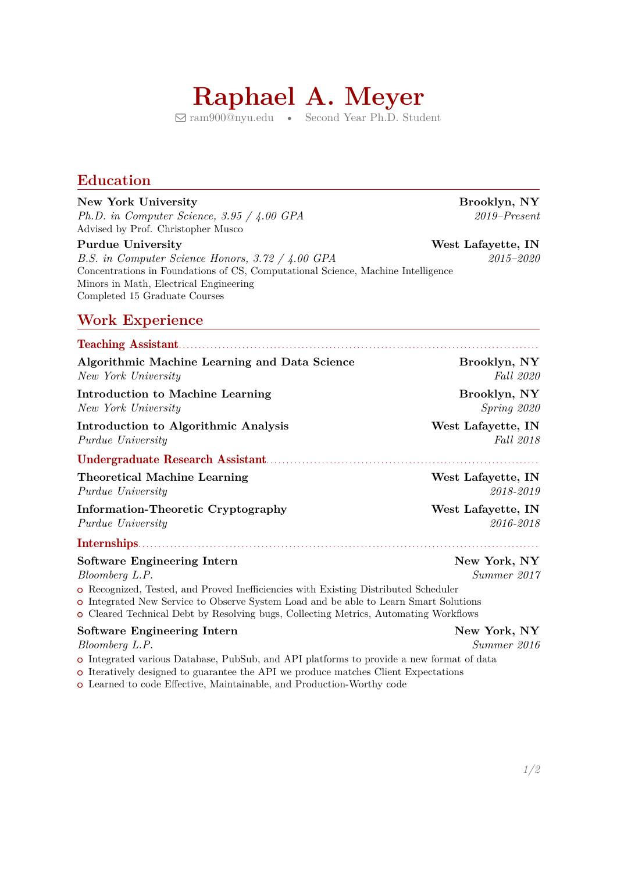# **Raphael A. Meyer**

� [ram900@nyu.edu](mailto:ram900@nyu.edu) • Second Year Ph.D. Student

#### **Education**

#### **New York University Brooklyn, NY**

*Ph.D. in Computer Science, 3.95 / 4.00 GPA 2019–Present* Advised by Prof. Christopher Musco

*B.S. in Computer Science Honors, 3.72 / 4.00 GPA 2015–2020* Concentrations in Foundations of CS, Computational Science, Machine Intelligence Minors in Math, Electrical Engineering Completed 15 Graduate Courses

#### **Work Experience**

#### Teaching Assistant. . . . . . . . . . . . . . . . . . . . . . . . . . . . . . . . . . . . . . . . . . . . . . . . . . . . . . . . . . . . . . . . . . . . . . . . . . . . . . . . . . . . . . . . . . .

| Algorithmic Machine Learning and Data Science                                                                                                                       | Brooklyn, NY                |
|---------------------------------------------------------------------------------------------------------------------------------------------------------------------|-----------------------------|
| New York University                                                                                                                                                 | <i>Fall</i> 2020            |
| Introduction to Machine Learning                                                                                                                                    | Brooklyn, NY                |
| New York University                                                                                                                                                 | Spring 2020                 |
| Introduction to Algorithmic Analysis                                                                                                                                | West Lafayette, IN          |
| <i>Purdue University</i>                                                                                                                                            | <i>Fall</i> 2018            |
|                                                                                                                                                                     |                             |
| <b>Theoretical Machine Learning</b>                                                                                                                                 | West Lafayette, IN          |
| <i>Purdue University</i>                                                                                                                                            | 2018-2019                   |
| <b>Information-Theoretic Cryptography</b>                                                                                                                           | West Lafayette, IN          |
| <i>Purdue University</i>                                                                                                                                            | 2016-2018                   |
|                                                                                                                                                                     |                             |
| <b>Software Engineering Intern</b><br>Bloomberg L.P.<br>$\mathbf{r}$ , and $\mathbf{r}$ , and $\mathbf{r}$ , and $\mathbf{r}$ , and $\mathbf{r}$ , and $\mathbf{r}$ | New York, NY<br>Summer 2017 |

○␣ Recognized, Tested, and Proved Inefficiencies with Existing Distributed Scheduler

○␣ Integrated New Service to Observe System Load and be able to Learn Smart Solutions

○␣ Cleared Technical Debt by Resolving bugs, Collecting Metrics, Automating Workflows

#### **Software Engineering Intern New York, NY**

*Bloomberg L.P. Summer 2016*

○␣ Integrated various Database, PubSub, and API platforms to provide a new format of data

○␣ Iteratively designed to guarantee the API we produce matches Client Expectations

○␣ Learned to code Effective, Maintainable, and Production-Worthy code

**Purdue University Next Lafayette, IN** 

*1[/2](#page-1-0)*